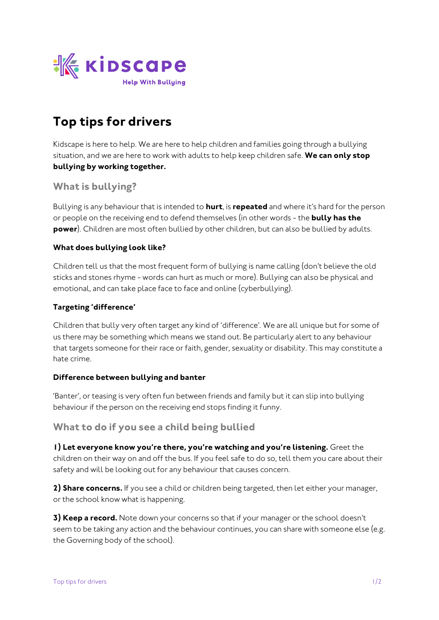

# **Top tips for drivers**

*Kidscape is here to help. We are here to help children and families going through a bullying situation, and we are here to work with adults to help keep children safe.* **We can only stop bullying by working together.**

## **What is bullying?**

*Bullying is any behaviour that is intended to* **hurt***, is* **repeated** *and where it's hard for the person or people on the receiving end to defend themselves (in other words - the* **bully has the power***). Children are most often bullied by other children, but can also be bullied by adults.* 

#### **What does bullying look like?**

*Children tell us that the most frequent form of bullying is name calling (don't believe the old sticks and stones rhyme - words can hurt as much or more). Bullying can also be physical and emotional, and can take place face to face and online (cyberbullying).*

#### **Targeting 'difference'**

*Children that bully very often target any kind of 'difference'. We are all unique but for some of us there may be something which means we stand out. Be particularly alert to any behaviour that targets someone for their race or faith, gender, sexuality or disability. This may constitute a hate crime.*

#### **Difference between bullying and banter**

'Banter', or teasing is very often fun between friends and family but it can slip into bullying *behaviour if the person on the receiving end stops finding it funny.* 

### **What to do if you see a child being bullied**

**1) Let everyone know you're there, you're watching and you're listening.** *Greet the children on their way on and off the bus. If you feel safe to do so, tell them you care about their safety and will be looking out for any behaviour that causes concern.*

**2) Share concerns.** *If you see a child or children being targeted, then let either your manager, or the school know what is happening.*

**3) Keep a record.** *Note down your concerns so that if your manager or the school doesn't seem to be taking any action and the behaviour continues, you can share with someone else (e.g. the Governing body of the school).*